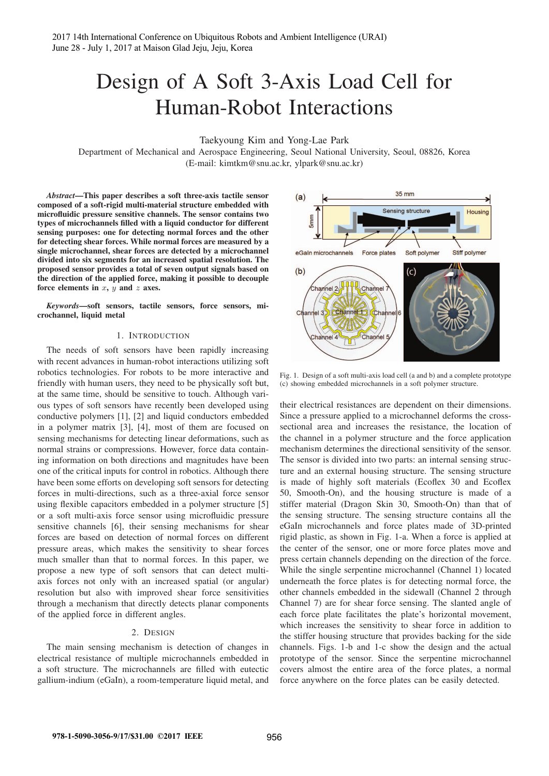# Design of A Soft 3-Axis Load Cell for Human-Robot Interactions

Taekyoung Kim and Yong-Lae Park

Department of Mechanical and Aerospace Engineering, Seoul National University, Seoul, 08826, Korea (E-mail: kimtkm@snu.ac.kr, ylpark@snu.ac.kr)

*Abstract*—This paper describes a soft three-axis tactile sensor composed of a soft-rigid multi-material structure embedded with microfluidic pressure sensitive channels. The sensor contains two types of microchannels filled with a liquid conductor for different sensing purposes: one for detecting normal forces and the other for detecting shear forces. While normal forces are measured by a single microchannel, shear forces are detected by a microchannel divided into six segments for an increased spatial resolution. The proposed sensor provides a total of seven output signals based on the direction of the applied force, making it possible to decouple force elements in  $x$ ,  $y$  and  $z$  axes.

*Keywords*—soft sensors, tactile sensors, force sensors, microchannel, liquid metal

#### 1. INTRODUCTION

The needs of soft sensors have been rapidly increasing with recent advances in human-robot interactions utilizing soft robotics technologies. For robots to be more interactive and friendly with human users, they need to be physically soft but, at the same time, should be sensitive to touch. Although various types of soft sensors have recently been developed using conductive polymers [1], [2] and liquid conductors embedded in a polymer matrix [3], [4], most of them are focused on sensing mechanisms for detecting linear deformations, such as normal strains or compressions. However, force data containing information on both directions and magnitudes have been one of the critical inputs for control in robotics. Although there have been some efforts on developing soft sensors for detecting forces in multi-directions, such as a three-axial force sensor using flexible capacitors embedded in a polymer structure [5] or a soft multi-axis force sensor using microfluidic pressure sensitive channels [6], their sensing mechanisms for shear forces are based on detection of normal forces on different pressure areas, which makes the sensitivity to shear forces much smaller than that to normal forces. In this paper, we propose a new type of soft sensors that can detect multiaxis forces not only with an increased spatial (or angular) resolution but also with improved shear force sensitivities through a mechanism that directly detects planar components of the applied force in different angles.

## 2. DESIGN

The main sensing mechanism is detection of changes in electrical resistance of multiple microchannels embedded in a soft structure. The microchannels are filled with eutectic gallium-indium (eGaIn), a room-temperature liquid metal, and



Fig. 1. Design of a soft multi-axis load cell (a and b) and a complete prototype (c) showing embedded microchannels in a soft polymer structure.

their electrical resistances are dependent on their dimensions. Since a pressure applied to a microchannel deforms the crosssectional area and increases the resistance, the location of the channel in a polymer structure and the force application mechanism determines the directional sensitivity of the sensor. The sensor is divided into two parts: an internal sensing structure and an external housing structure. The sensing structure is made of highly soft materials (Ecoflex 30 and Ecoflex 50, Smooth-On), and the housing structure is made of a stiffer material (Dragon Skin 30, Smooth-On) than that of the sensing structure. The sensing structure contains all the eGaIn microchannels and force plates made of 3D-printed rigid plastic, as shown in Fig. 1-a. When a force is applied at the center of the sensor, one or more force plates move and press certain channels depending on the direction of the force. While the single serpentine microchannel (Channel 1) located underneath the force plates is for detecting normal force, the other channels embedded in the sidewall (Channel 2 through Channel 7) are for shear force sensing. The slanted angle of each force plate facilitates the plate's horizontal movement, which increases the sensitivity to shear force in addition to the stiffer housing structure that provides backing for the side channels. Figs. 1-b and 1-c show the design and the actual prototype of the sensor. Since the serpentine microchannel covers almost the entire area of the force plates, a normal force anywhere on the force plates can be easily detected.